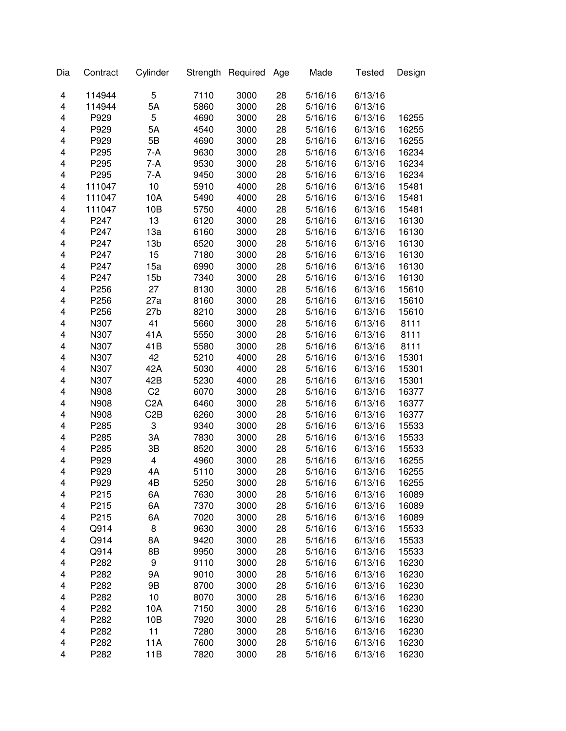| Dia | Contract | Cylinder         |      | Strength Required | Age | Made    | <b>Tested</b> | Design |
|-----|----------|------------------|------|-------------------|-----|---------|---------------|--------|
| 4   | 114944   | 5                | 7110 | 3000              | 28  | 5/16/16 | 6/13/16       |        |
| 4   | 114944   | 5A               | 5860 | 3000              | 28  | 5/16/16 | 6/13/16       |        |
| 4   | P929     | 5                | 4690 | 3000              | 28  | 5/16/16 | 6/13/16       | 16255  |
| 4   | P929     | 5A               | 4540 | 3000              | 28  | 5/16/16 | 6/13/16       | 16255  |
| 4   | P929     | 5B               | 4690 | 3000              | 28  | 5/16/16 | 6/13/16       | 16255  |
| 4   | P295     | 7-A              | 9630 | 3000              | 28  | 5/16/16 | 6/13/16       | 16234  |
| 4   | P295     | 7-A              | 9530 | 3000              | 28  | 5/16/16 | 6/13/16       | 16234  |
| 4   | P295     | 7-A              | 9450 | 3000              | 28  | 5/16/16 | 6/13/16       | 16234  |
| 4   | 111047   | 10               | 5910 | 4000              | 28  | 5/16/16 | 6/13/16       | 15481  |
| 4   | 111047   | 10A              | 5490 | 4000              | 28  | 5/16/16 | 6/13/16       | 15481  |
| 4   | 111047   | 10B              | 5750 | 4000              | 28  | 5/16/16 | 6/13/16       | 15481  |
| 4   | P247     | 13               | 6120 | 3000              | 28  | 5/16/16 | 6/13/16       | 16130  |
| 4   | P247     | 13a              | 6160 | 3000              | 28  | 5/16/16 | 6/13/16       | 16130  |
| 4   | P247     | 13 <sub>b</sub>  | 6520 | 3000              | 28  | 5/16/16 | 6/13/16       | 16130  |
| 4   | P247     | 15               | 7180 | 3000              | 28  | 5/16/16 | 6/13/16       | 16130  |
| 4   | P247     | 15a              | 6990 | 3000              | 28  | 5/16/16 | 6/13/16       | 16130  |
| 4   | P247     | 15 <sub>b</sub>  | 7340 | 3000              | 28  | 5/16/16 | 6/13/16       | 16130  |
| 4   | P256     | 27               | 8130 | 3000              | 28  | 5/16/16 | 6/13/16       | 15610  |
| 4   | P256     | 27a              | 8160 | 3000              | 28  | 5/16/16 | 6/13/16       | 15610  |
| 4   | P256     | 27 <sub>b</sub>  | 8210 | 3000              | 28  | 5/16/16 | 6/13/16       | 15610  |
| 4   | N307     | 41               | 5660 | 3000              | 28  | 5/16/16 | 6/13/16       | 8111   |
| 4   | N307     | 41A              | 5550 | 3000              | 28  | 5/16/16 | 6/13/16       | 8111   |
| 4   | N307     | 41B              | 5580 | 3000              | 28  | 5/16/16 | 6/13/16       | 8111   |
| 4   | N307     | 42               | 5210 | 4000              | 28  | 5/16/16 | 6/13/16       | 15301  |
| 4   | N307     | 42A              | 5030 | 4000              | 28  | 5/16/16 | 6/13/16       | 15301  |
| 4   | N307     | 42B              | 5230 | 4000              | 28  | 5/16/16 | 6/13/16       | 15301  |
| 4   | N908     | C <sub>2</sub>   | 6070 | 3000              | 28  | 5/16/16 | 6/13/16       | 16377  |
| 4   | N908     | C <sub>2</sub> A | 6460 | 3000              | 28  | 5/16/16 | 6/13/16       | 16377  |
| 4   | N908     | C <sub>2</sub> B | 6260 | 3000              | 28  | 5/16/16 | 6/13/16       | 16377  |
| 4   | P285     | 3                | 9340 | 3000              | 28  | 5/16/16 | 6/13/16       | 15533  |
| 4   | P285     | 3A               | 7830 | 3000              | 28  | 5/16/16 | 6/13/16       | 15533  |
| 4   | P285     | 3B               | 8520 | 3000              | 28  | 5/16/16 | 6/13/16       | 15533  |
| 4   | P929     | 4                | 4960 | 3000              | 28  | 5/16/16 | 6/13/16       | 16255  |
| 4   | P929     | 4A               | 5110 | 3000              | 28  | 5/16/16 | 6/13/16       | 16255  |
| 4   | P929     | 4B               | 5250 | 3000              | 28  | 5/16/16 | 6/13/16       | 16255  |
| 4   | P215     | 6A               | 7630 | 3000              | 28  | 5/16/16 | 6/13/16       | 16089  |
| 4   | P215     | 6A               | 7370 | 3000              | 28  | 5/16/16 | 6/13/16       | 16089  |
| 4   | P215     | 6A               | 7020 | 3000              | 28  | 5/16/16 | 6/13/16       | 16089  |
| 4   | Q914     | 8                | 9630 | 3000              | 28  | 5/16/16 | 6/13/16       | 15533  |
| 4   | Q914     | 8A               | 9420 | 3000              | 28  | 5/16/16 | 6/13/16       | 15533  |
| 4   | Q914     | 8B               | 9950 | 3000              | 28  | 5/16/16 | 6/13/16       | 15533  |
| 4   | P282     | 9                | 9110 | 3000              | 28  | 5/16/16 | 6/13/16       | 16230  |
| 4   | P282     | 9Α               | 9010 | 3000              | 28  | 5/16/16 | 6/13/16       | 16230  |
| 4   | P282     | 9B               | 8700 | 3000              | 28  | 5/16/16 | 6/13/16       | 16230  |
| 4   | P282     | 10               | 8070 | 3000              | 28  | 5/16/16 | 6/13/16       | 16230  |
| 4   | P282     | 10A              | 7150 | 3000              | 28  | 5/16/16 | 6/13/16       | 16230  |
| 4   | P282     | 10B              | 7920 | 3000              | 28  | 5/16/16 | 6/13/16       | 16230  |
| 4   | P282     | 11               | 7280 | 3000              | 28  | 5/16/16 | 6/13/16       | 16230  |
| 4   | P282     | 11A              | 7600 | 3000              | 28  | 5/16/16 | 6/13/16       | 16230  |
| 4   | P282     | 11B              | 7820 | 3000              | 28  | 5/16/16 | 6/13/16       | 16230  |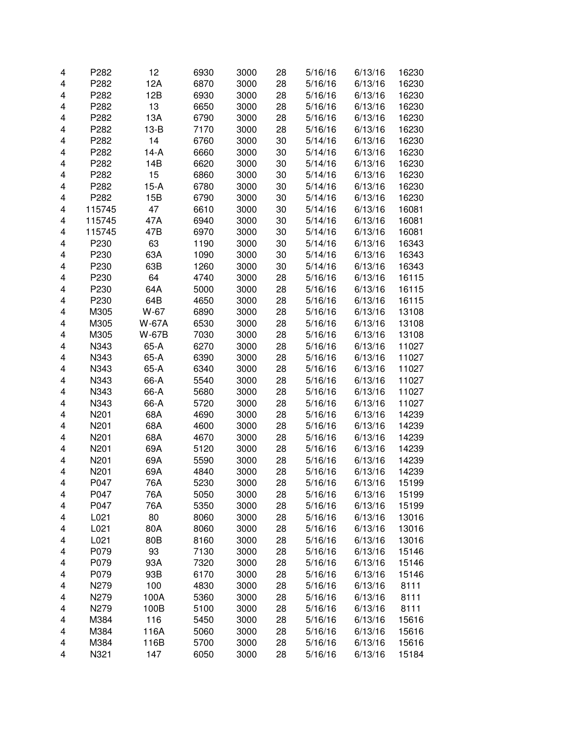| 4                       | P282   | 12     | 6930 | 3000 | 28 | 5/16/16 | 6/13/16 | 16230 |
|-------------------------|--------|--------|------|------|----|---------|---------|-------|
| 4                       | P282   | 12A    | 6870 | 3000 | 28 | 5/16/16 | 6/13/16 | 16230 |
| 4                       | P282   | 12B    | 6930 | 3000 | 28 | 5/16/16 | 6/13/16 | 16230 |
| 4                       | P282   | 13     | 6650 | 3000 | 28 | 5/16/16 | 6/13/16 | 16230 |
| 4                       | P282   | 13A    | 6790 | 3000 | 28 | 5/16/16 | 6/13/16 | 16230 |
| 4                       | P282   | $13-B$ | 7170 | 3000 | 28 | 5/16/16 | 6/13/16 | 16230 |
| 4                       | P282   | 14     | 6760 | 3000 | 30 | 5/14/16 | 6/13/16 | 16230 |
| 4                       | P282   | $14-A$ | 6660 | 3000 | 30 | 5/14/16 | 6/13/16 | 16230 |
| 4                       | P282   | 14B    | 6620 | 3000 | 30 | 5/14/16 | 6/13/16 | 16230 |
| $\overline{\mathbf{4}}$ | P282   | 15     | 6860 | 3000 | 30 | 5/14/16 | 6/13/16 | 16230 |
| $\overline{\mathbf{4}}$ | P282   | $15-A$ | 6780 | 3000 | 30 | 5/14/16 | 6/13/16 | 16230 |
| 4                       | P282   | 15B    | 6790 | 3000 | 30 | 5/14/16 | 6/13/16 | 16230 |
| 4                       | 115745 | 47     | 6610 | 3000 | 30 | 5/14/16 | 6/13/16 | 16081 |
| $\overline{\mathbf{4}}$ | 115745 | 47A    | 6940 | 3000 | 30 | 5/14/16 | 6/13/16 | 16081 |
| $\overline{\mathbf{4}}$ | 115745 | 47B    | 6970 | 3000 | 30 | 5/14/16 | 6/13/16 | 16081 |
| $\overline{\mathbf{4}}$ | P230   | 63     | 1190 | 3000 | 30 | 5/14/16 | 6/13/16 | 16343 |
| 4                       | P230   | 63A    | 1090 | 3000 | 30 | 5/14/16 | 6/13/16 | 16343 |
| $\overline{\mathbf{4}}$ | P230   | 63B    | 1260 | 3000 | 30 | 5/14/16 | 6/13/16 | 16343 |
| $\overline{\mathbf{4}}$ | P230   | 64     | 4740 | 3000 | 28 | 5/16/16 | 6/13/16 | 16115 |
| 4                       | P230   | 64A    | 5000 | 3000 | 28 | 5/16/16 | 6/13/16 | 16115 |
| 4                       | P230   | 64B    | 4650 | 3000 | 28 | 5/16/16 | 6/13/16 | 16115 |
| 4                       | M305   | W-67   | 6890 | 3000 | 28 | 5/16/16 | 6/13/16 | 13108 |
| $\overline{\mathbf{4}}$ | M305   | W-67A  | 6530 | 3000 | 28 | 5/16/16 | 6/13/16 | 13108 |
| 4                       | M305   | W-67B  | 7030 | 3000 | 28 | 5/16/16 | 6/13/16 | 13108 |
| 4                       | N343   | 65-A   | 6270 | 3000 | 28 | 5/16/16 | 6/13/16 | 11027 |
| 4                       | N343   | 65-A   | 6390 | 3000 | 28 | 5/16/16 | 6/13/16 | 11027 |
| $\overline{\mathbf{4}}$ | N343   | 65-A   | 6340 | 3000 | 28 | 5/16/16 | 6/13/16 | 11027 |
| $\overline{\mathbf{4}}$ | N343   | 66-A   | 5540 | 3000 | 28 | 5/16/16 | 6/13/16 | 11027 |
| 4                       | N343   | 66-A   | 5680 | 3000 | 28 | 5/16/16 | 6/13/16 | 11027 |
| 4                       | N343   | 66-A   | 5720 | 3000 | 28 | 5/16/16 | 6/13/16 | 11027 |
| 4                       | N201   | 68A    | 4690 | 3000 | 28 | 5/16/16 | 6/13/16 | 14239 |
| $\overline{\mathbf{4}}$ | N201   | 68A    | 4600 | 3000 | 28 | 5/16/16 | 6/13/16 | 14239 |
| 4                       | N201   | 68A    | 4670 | 3000 | 28 | 5/16/16 | 6/13/16 | 14239 |
| 4                       | N201   | 69A    | 5120 | 3000 | 28 | 5/16/16 | 6/13/16 | 14239 |
| $\overline{\mathbf{4}}$ | N201   | 69A    | 5590 | 3000 | 28 | 5/16/16 | 6/13/16 | 14239 |
| $\overline{\mathbf{4}}$ | N201   | 69A    | 4840 | 3000 | 28 | 5/16/16 | 6/13/16 | 14239 |
| 4                       | P047   | 76A    | 5230 | 3000 | 28 | 5/16/16 | 6/13/16 | 15199 |
| 4                       | P047   | 76A    | 5050 | 3000 | 28 | 5/16/16 | 6/13/16 | 15199 |
| 4                       | P047   | 76A    | 5350 | 3000 | 28 | 5/16/16 | 6/13/16 | 15199 |
| 4                       | L021   | 80     | 8060 | 3000 | 28 | 5/16/16 | 6/13/16 | 13016 |
| 4                       | L021   | 80A    | 8060 | 3000 | 28 | 5/16/16 | 6/13/16 | 13016 |
| 4                       | L021   | 80B    | 8160 | 3000 | 28 | 5/16/16 | 6/13/16 | 13016 |
| 4                       | P079   | 93     | 7130 | 3000 | 28 | 5/16/16 | 6/13/16 | 15146 |
| 4                       | P079   | 93A    | 7320 | 3000 | 28 | 5/16/16 | 6/13/16 | 15146 |
| 4                       | P079   | 93B    | 6170 | 3000 | 28 | 5/16/16 | 6/13/16 | 15146 |
| 4                       | N279   | 100    | 4830 | 3000 | 28 | 5/16/16 | 6/13/16 | 8111  |
| 4                       | N279   | 100A   | 5360 | 3000 | 28 | 5/16/16 | 6/13/16 | 8111  |
| 4                       | N279   | 100B   | 5100 | 3000 | 28 | 5/16/16 | 6/13/16 | 8111  |
| 4                       | M384   | 116    | 5450 | 3000 | 28 | 5/16/16 | 6/13/16 | 15616 |
| 4                       | M384   | 116A   | 5060 | 3000 | 28 | 5/16/16 | 6/13/16 | 15616 |
| 4                       | M384   | 116B   | 5700 | 3000 | 28 | 5/16/16 | 6/13/16 | 15616 |
| 4                       | N321   | 147    | 6050 | 3000 | 28 | 5/16/16 | 6/13/16 | 15184 |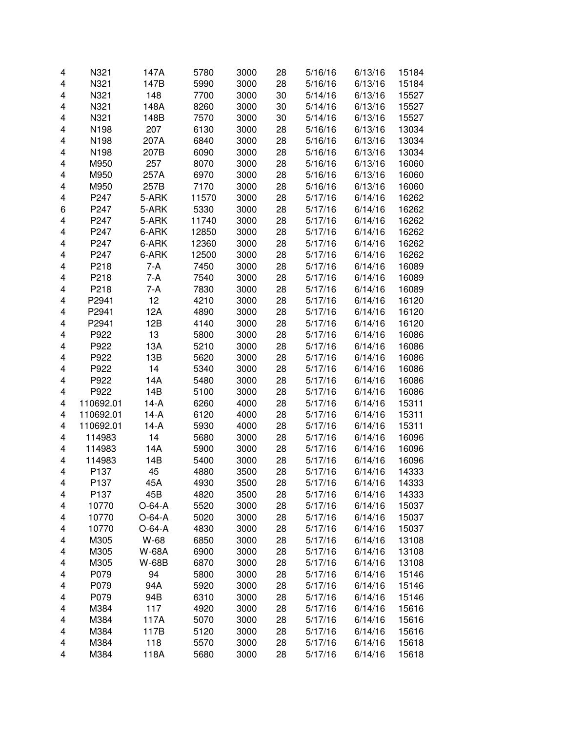| 4                       | N321             | 147A         | 5780  | 3000 | 28 | 5/16/16 | 6/13/16 | 15184 |
|-------------------------|------------------|--------------|-------|------|----|---------|---------|-------|
| 4                       | N321             | 147B         | 5990  | 3000 | 28 | 5/16/16 | 6/13/16 | 15184 |
| 4                       | N321             | 148          | 7700  | 3000 | 30 | 5/14/16 | 6/13/16 | 15527 |
| 4                       | N321             | 148A         | 8260  | 3000 | 30 | 5/14/16 | 6/13/16 | 15527 |
| 4                       | N321             | 148B         | 7570  | 3000 | 30 | 5/14/16 | 6/13/16 | 15527 |
| 4                       | N198             | 207          | 6130  | 3000 | 28 | 5/16/16 | 6/13/16 | 13034 |
| 4                       | N198             | 207A         | 6840  | 3000 | 28 | 5/16/16 | 6/13/16 | 13034 |
| 4                       | N198             | 207B         | 6090  | 3000 | 28 | 5/16/16 | 6/13/16 | 13034 |
| 4                       | M950             | 257          | 8070  | 3000 | 28 | 5/16/16 | 6/13/16 | 16060 |
| 4                       | M950             | 257A         | 6970  | 3000 | 28 | 5/16/16 | 6/13/16 | 16060 |
| $\overline{\mathbf{4}}$ | M950             | 257B         | 7170  | 3000 | 28 | 5/16/16 | 6/13/16 | 16060 |
| $\overline{\mathbf{4}}$ | P247             | 5-ARK        | 11570 | 3000 | 28 | 5/17/16 | 6/14/16 | 16262 |
| 6                       | P247             | 5-ARK        | 5330  | 3000 | 28 | 5/17/16 | 6/14/16 | 16262 |
| 4                       | P247             | 5-ARK        | 11740 | 3000 | 28 | 5/17/16 | 6/14/16 | 16262 |
| $\overline{\mathbf{4}}$ | P247             | 6-ARK        | 12850 | 3000 | 28 | 5/17/16 | 6/14/16 | 16262 |
| 4                       | P247             | 6-ARK        | 12360 | 3000 | 28 | 5/17/16 | 6/14/16 | 16262 |
| 4                       | P247             | 6-ARK        | 12500 | 3000 | 28 | 5/17/16 | 6/14/16 | 16262 |
| $\overline{\mathbf{4}}$ | P218             | 7-A          | 7450  | 3000 | 28 | 5/17/16 | 6/14/16 | 16089 |
| $\overline{\mathbf{4}}$ | P218             | 7-A          | 7540  | 3000 | 28 | 5/17/16 | 6/14/16 | 16089 |
| 4                       | P218             | 7-A          | 7830  | 3000 | 28 | 5/17/16 | 6/14/16 | 16089 |
| 4                       | P2941            | 12           | 4210  | 3000 | 28 | 5/17/16 | 6/14/16 | 16120 |
| 4                       | P2941            | 12A          | 4890  | 3000 | 28 | 5/17/16 | 6/14/16 | 16120 |
| $\overline{\mathbf{4}}$ | P2941            | 12B          | 4140  | 3000 | 28 | 5/17/16 | 6/14/16 | 16120 |
| 4                       | P922             | 13           | 5800  | 3000 | 28 | 5/17/16 | 6/14/16 | 16086 |
| 4                       | P922             | 13A          | 5210  | 3000 | 28 | 5/17/16 | 6/14/16 | 16086 |
| 4                       | P922             | 13B          | 5620  | 3000 | 28 | 5/17/16 | 6/14/16 | 16086 |
| $\overline{\mathbf{4}}$ | P922             | 14           | 5340  | 3000 | 28 | 5/17/16 | 6/14/16 | 16086 |
| $\overline{\mathbf{4}}$ | P922             | 14A          | 5480  | 3000 | 28 | 5/17/16 | 6/14/16 | 16086 |
| $\overline{\mathbf{4}}$ | P922             | 14B          | 5100  | 3000 | 28 | 5/17/16 | 6/14/16 | 16086 |
| 4                       | 110692.01        | $14-A$       | 6260  | 4000 | 28 | 5/17/16 | 6/14/16 | 15311 |
| 4                       | 110692.01        | $14-A$       | 6120  | 4000 | 28 | 5/17/16 | 6/14/16 | 15311 |
| 4                       | 110692.01        | $14-A$       | 5930  | 4000 | 28 | 5/17/16 | 6/14/16 | 15311 |
| 4                       | 114983           | 14           | 5680  | 3000 | 28 | 5/17/16 | 6/14/16 | 16096 |
| 4                       | 114983           | 14A          | 5900  | 3000 | 28 | 5/17/16 | 6/14/16 | 16096 |
| $\overline{\mathbf{4}}$ | 114983           | 14B          | 5400  | 3000 | 28 | 5/17/16 | 6/14/16 | 16096 |
| $\overline{\mathbf{4}}$ | P137             | 45           | 4880  | 3500 | 28 | 5/17/16 | 6/14/16 | 14333 |
| 4                       | P <sub>137</sub> | 45A          | 4930  | 3500 | 28 | 5/17/16 | 6/14/16 | 14333 |
| 4                       | P137             | 45B          | 4820  | 3500 | 28 | 5/17/16 | 6/14/16 | 14333 |
| 4                       | 10770            | $O-64-A$     | 5520  | 3000 | 28 | 5/17/16 | 6/14/16 | 15037 |
| 4                       | 10770            | $O-64-A$     | 5020  | 3000 | 28 | 5/17/16 | 6/14/16 | 15037 |
| 4                       | 10770            | $O-64-A$     | 4830  | 3000 | 28 | 5/17/16 | 6/14/16 | 15037 |
| 4                       | M305             | W-68         | 6850  | 3000 | 28 | 5/17/16 | 6/14/16 | 13108 |
| 4                       | M305             | <b>W-68A</b> | 6900  | 3000 | 28 | 5/17/16 | 6/14/16 | 13108 |
| 4                       | M305             | W-68B        | 6870  | 3000 | 28 | 5/17/16 | 6/14/16 | 13108 |
| 4                       | P079             | 94           | 5800  | 3000 | 28 | 5/17/16 | 6/14/16 | 15146 |
| 4                       | P079             | 94A          | 5920  | 3000 | 28 | 5/17/16 | 6/14/16 | 15146 |
| 4                       | P079             | 94B          | 6310  | 3000 | 28 | 5/17/16 | 6/14/16 | 15146 |
| 4                       | M384             | 117          | 4920  | 3000 | 28 | 5/17/16 | 6/14/16 | 15616 |
| 4                       | M384             | 117A         | 5070  | 3000 | 28 | 5/17/16 | 6/14/16 | 15616 |
| 4                       | M384             | 117B         | 5120  | 3000 | 28 | 5/17/16 | 6/14/16 | 15616 |
| 4                       | M384             | 118          | 5570  | 3000 | 28 | 5/17/16 | 6/14/16 | 15618 |
| 4                       | M384             | 118A         | 5680  | 3000 | 28 | 5/17/16 | 6/14/16 | 15618 |
|                         |                  |              |       |      |    |         |         |       |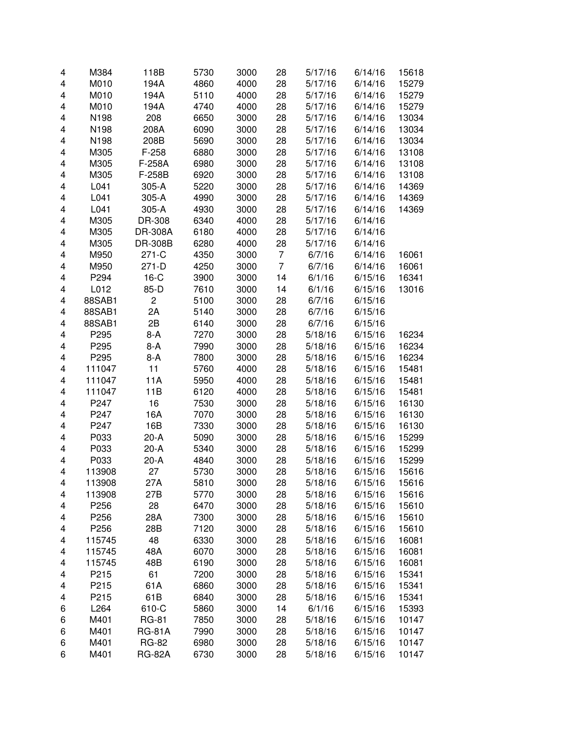|   | M384   |                |      |      |                |         |         |       |
|---|--------|----------------|------|------|----------------|---------|---------|-------|
| 4 |        | 118B           | 5730 | 3000 | 28             | 5/17/16 | 6/14/16 | 15618 |
| 4 | M010   | 194A           | 4860 | 4000 | 28             | 5/17/16 | 6/14/16 | 15279 |
| 4 | M010   | 194A           | 5110 | 4000 | 28             | 5/17/16 | 6/14/16 | 15279 |
| 4 | M010   | 194A           | 4740 | 4000 | 28             | 5/17/16 | 6/14/16 | 15279 |
| 4 | N198   | 208            | 6650 | 3000 | 28             | 5/17/16 | 6/14/16 | 13034 |
| 4 | N198   | 208A           | 6090 | 3000 | 28             | 5/17/16 | 6/14/16 | 13034 |
| 4 | N198   | 208B           | 5690 | 3000 | 28             | 5/17/16 | 6/14/16 | 13034 |
| 4 | M305   | $F-258$        | 6880 | 3000 | 28             | 5/17/16 | 6/14/16 | 13108 |
| 4 | M305   | F-258A         | 6980 | 3000 | 28             | 5/17/16 | 6/14/16 | 13108 |
| 4 | M305   | F-258B         | 6920 | 3000 | 28             | 5/17/16 | 6/14/16 | 13108 |
| 4 | L041   | 305-A          | 5220 | 3000 | 28             | 5/17/16 | 6/14/16 | 14369 |
| 4 | L041   | 305-A          | 4990 | 3000 | 28             | 5/17/16 | 6/14/16 | 14369 |
| 4 | L041   | 305-A          | 4930 | 3000 | 28             | 5/17/16 | 6/14/16 | 14369 |
| 4 | M305   | DR-308         | 6340 | 4000 | 28             | 5/17/16 | 6/14/16 |       |
| 4 | M305   | <b>DR-308A</b> | 6180 | 4000 | 28             | 5/17/16 | 6/14/16 |       |
| 4 | M305   | DR-308B        | 6280 | 4000 | 28             | 5/17/16 | 6/14/16 |       |
| 4 | M950   | 271-C          | 4350 | 3000 | 7              | 6/7/16  | 6/14/16 | 16061 |
| 4 | M950   | $271-D$        | 4250 | 3000 | $\overline{7}$ | 6/7/16  | 6/14/16 | 16061 |
| 4 | P294   | $16-C$         | 3900 | 3000 | 14             | 6/1/16  | 6/15/16 | 16341 |
| 4 | L012   | 85-D           | 7610 | 3000 | 14             | 6/1/16  | 6/15/16 | 13016 |
| 4 | 88SAB1 | $\overline{c}$ | 5100 | 3000 | 28             | 6/7/16  | 6/15/16 |       |
| 4 | 88SAB1 | 2A             | 5140 | 3000 | 28             | 6/7/16  | 6/15/16 |       |
| 4 | 88SAB1 | 2B             | 6140 | 3000 | 28             | 6/7/16  | 6/15/16 |       |
| 4 | P295   | 8-A            | 7270 | 3000 | 28             | 5/18/16 | 6/15/16 | 16234 |
| 4 | P295   | 8-A            | 7990 | 3000 | 28             | 5/18/16 | 6/15/16 | 16234 |
| 4 | P295   | $8-A$          | 7800 | 3000 | 28             | 5/18/16 | 6/15/16 | 16234 |
| 4 | 111047 | 11             | 5760 | 4000 | 28             | 5/18/16 | 6/15/16 | 15481 |
| 4 | 111047 | 11A            | 5950 | 4000 | 28             | 5/18/16 | 6/15/16 | 15481 |
| 4 | 111047 | 11B            | 6120 | 4000 | 28             | 5/18/16 | 6/15/16 | 15481 |
| 4 | P247   | 16             | 7530 | 3000 | 28             | 5/18/16 | 6/15/16 | 16130 |
| 4 | P247   | 16A            | 7070 | 3000 | 28             | 5/18/16 | 6/15/16 | 16130 |
| 4 | P247   | 16B            | 7330 | 3000 | 28             | 5/18/16 | 6/15/16 | 16130 |
| 4 | P033   | $20-A$         | 5090 | 3000 | 28             | 5/18/16 | 6/15/16 | 15299 |
| 4 | P033   | $20-A$         | 5340 | 3000 | 28             | 5/18/16 | 6/15/16 | 15299 |
| 4 | P033   | $20-A$         | 4840 | 3000 | 28             | 5/18/16 | 6/15/16 | 15299 |
| 4 | 113908 | 27             | 5730 |      | 28             | 5/18/16 | 6/15/16 |       |
|   |        |                |      | 3000 |                |         |         | 15616 |
| 4 | 113908 | 27A<br>27B     | 5810 | 3000 | 28             | 5/18/16 | 6/15/16 | 15616 |
| 4 | 113908 |                | 5770 | 3000 | 28             | 5/18/16 | 6/15/16 | 15616 |
| 4 | P256   | 28             | 6470 | 3000 | 28             | 5/18/16 | 6/15/16 | 15610 |
| 4 | P256   | 28A            | 7300 | 3000 | 28             | 5/18/16 | 6/15/16 | 15610 |
| 4 | P256   | 28B            | 7120 | 3000 | 28             | 5/18/16 | 6/15/16 | 15610 |
| 4 | 115745 | 48             | 6330 | 3000 | 28             | 5/18/16 | 6/15/16 | 16081 |
| 4 | 115745 | 48A            | 6070 | 3000 | 28             | 5/18/16 | 6/15/16 | 16081 |
| 4 | 115745 | 48B            | 6190 | 3000 | 28             | 5/18/16 | 6/15/16 | 16081 |
| 4 | P215   | 61             | 7200 | 3000 | 28             | 5/18/16 | 6/15/16 | 15341 |
| 4 | P215   | 61A            | 6860 | 3000 | 28             | 5/18/16 | 6/15/16 | 15341 |
| 4 | P215   | 61B            | 6840 | 3000 | 28             | 5/18/16 | 6/15/16 | 15341 |
| 6 | L264   | 610-C          | 5860 | 3000 | 14             | 6/1/16  | 6/15/16 | 15393 |
| 6 | M401   | <b>RG-81</b>   | 7850 | 3000 | 28             | 5/18/16 | 6/15/16 | 10147 |
| 6 | M401   | <b>RG-81A</b>  | 7990 | 3000 | 28             | 5/18/16 | 6/15/16 | 10147 |
| 6 | M401   | <b>RG-82</b>   | 6980 | 3000 | 28             | 5/18/16 | 6/15/16 | 10147 |
| 6 | M401   | <b>RG-82A</b>  | 6730 | 3000 | 28             | 5/18/16 | 6/15/16 | 10147 |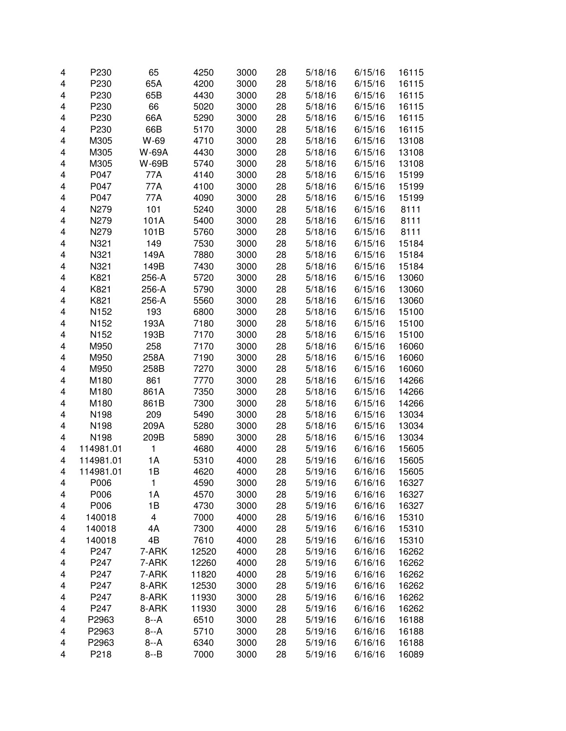| 4                       | P230             | 65      | 4250  | 3000 | 28 | 5/18/16 | 6/15/16 | 16115 |
|-------------------------|------------------|---------|-------|------|----|---------|---------|-------|
| $\overline{\mathbf{4}}$ | P230             | 65A     | 4200  | 3000 | 28 | 5/18/16 | 6/15/16 | 16115 |
| $\overline{\mathbf{4}}$ | P230             | 65B     | 4430  | 3000 | 28 | 5/18/16 | 6/15/16 | 16115 |
| 4                       | P230             | 66      | 5020  | 3000 | 28 | 5/18/16 | 6/15/16 | 16115 |
| 4                       | P230             | 66A     | 5290  | 3000 | 28 | 5/18/16 | 6/15/16 | 16115 |
| 4                       | P230             | 66B     | 5170  | 3000 | 28 | 5/18/16 | 6/15/16 | 16115 |
| 4                       | M305             | W-69    | 4710  | 3000 | 28 | 5/18/16 | 6/15/16 | 13108 |
| 4                       | M305             | W-69A   | 4430  | 3000 | 28 | 5/18/16 | 6/15/16 | 13108 |
| 4                       | M305             | W-69B   | 5740  | 3000 | 28 | 5/18/16 | 6/15/16 | 13108 |
| 4                       | P047             | 77A     | 4140  | 3000 | 28 | 5/18/16 | 6/15/16 | 15199 |
| $\overline{\mathbf{4}}$ | P047             | 77A     | 4100  | 3000 | 28 | 5/18/16 | 6/15/16 | 15199 |
| 4                       | P047             | 77A     | 4090  | 3000 | 28 | 5/18/16 | 6/15/16 | 15199 |
| 4                       | N279             | 101     | 5240  | 3000 | 28 | 5/18/16 | 6/15/16 | 8111  |
| 4                       | N279             | 101A    | 5400  | 3000 | 28 | 5/18/16 | 6/15/16 | 8111  |
| $\overline{\mathbf{4}}$ | N279             | 101B    | 5760  | 3000 | 28 | 5/18/16 | 6/15/16 | 8111  |
| 4                       | N321             | 149     | 7530  | 3000 | 28 | 5/18/16 | 6/15/16 | 15184 |
| 4                       | N321             | 149A    | 7880  | 3000 | 28 | 5/18/16 | 6/15/16 | 15184 |
| $\overline{\mathbf{4}}$ | N321             | 149B    | 7430  | 3000 | 28 | 5/18/16 | 6/15/16 | 15184 |
| $\overline{\mathbf{4}}$ | K821             | 256-A   | 5720  | 3000 | 28 | 5/18/16 | 6/15/16 | 13060 |
| 4                       | K821             | 256-A   | 5790  | 3000 | 28 | 5/18/16 | 6/15/16 | 13060 |
| 4                       | K821             | 256-A   | 5560  | 3000 | 28 | 5/18/16 | 6/15/16 | 13060 |
| 4                       | N152             | 193     | 6800  | 3000 | 28 | 5/18/16 | 6/15/16 | 15100 |
| $\overline{\mathbf{4}}$ | N <sub>152</sub> | 193A    | 7180  | 3000 | 28 | 5/18/16 | 6/15/16 | 15100 |
| 4                       | N152             | 193B    | 7170  | 3000 | 28 | 5/18/16 | 6/15/16 | 15100 |
| 4                       | M950             | 258     | 7170  | 3000 | 28 | 5/18/16 | 6/15/16 | 16060 |
| 4                       | M950             | 258A    | 7190  | 3000 | 28 | 5/18/16 | 6/15/16 | 16060 |
| $\overline{\mathbf{4}}$ | M950             | 258B    | 7270  | 3000 | 28 | 5/18/16 | 6/15/16 | 16060 |
| $\overline{\mathbf{4}}$ | M180             | 861     | 7770  | 3000 | 28 | 5/18/16 | 6/15/16 | 14266 |
| 4                       | M180             | 861A    | 7350  | 3000 | 28 | 5/18/16 | 6/15/16 | 14266 |
| 4                       | M180             | 861B    | 7300  | 3000 | 28 | 5/18/16 | 6/15/16 | 14266 |
| 4                       | N198             | 209     | 5490  | 3000 | 28 | 5/18/16 | 6/15/16 | 13034 |
| $\overline{\mathbf{4}}$ | N198             | 209A    | 5280  | 3000 | 28 | 5/18/16 | 6/15/16 | 13034 |
| 4                       | N198             | 209B    | 5890  | 3000 | 28 | 5/18/16 | 6/15/16 | 13034 |
| 4                       | 114981.01        | 1       | 4680  | 4000 | 28 | 5/19/16 | 6/16/16 | 15605 |
| 4                       | 114981.01        | 1A      | 5310  | 4000 | 28 | 5/19/16 | 6/16/16 | 15605 |
| 4                       | 114981.01        | 1B      | 4620  | 4000 | 28 | 5/19/16 | 6/16/16 | 15605 |
| 4                       | P006             | 1       | 4590  | 3000 | 28 | 5/19/16 | 6/16/16 | 16327 |
| 4                       | P006             | 1A      | 4570  | 3000 | 28 | 5/19/16 | 6/16/16 | 16327 |
| 4                       | P006             | 1B      | 4730  | 3000 | 28 | 5/19/16 | 6/16/16 | 16327 |
| 4                       | 140018           | 4       | 7000  | 4000 | 28 | 5/19/16 | 6/16/16 | 15310 |
| 4                       | 140018           | 4A      | 7300  | 4000 | 28 | 5/19/16 | 6/16/16 | 15310 |
| 4                       | 140018           | 4B      | 7610  | 4000 | 28 | 5/19/16 | 6/16/16 | 15310 |
| 4                       | P247             | 7-ARK   | 12520 | 4000 | 28 | 5/19/16 | 6/16/16 | 16262 |
| 4                       | P247             | 7-ARK   | 12260 | 4000 | 28 | 5/19/16 | 6/16/16 | 16262 |
| 4                       | P247             | 7-ARK   | 11820 | 4000 | 28 | 5/19/16 | 6/16/16 | 16262 |
| 4                       | P247             | 8-ARK   | 12530 | 3000 | 28 | 5/19/16 | 6/16/16 | 16262 |
| 4                       | P247             | 8-ARK   | 11930 | 3000 | 28 | 5/19/16 | 6/16/16 | 16262 |
| 4                       | P247             | 8-ARK   | 11930 | 3000 | 28 | 5/19/16 | 6/16/16 | 16262 |
| 4                       | P2963            | $8 - A$ | 6510  | 3000 | 28 | 5/19/16 | 6/16/16 | 16188 |
| 4                       | P2963            | $8 - A$ | 5710  | 3000 | 28 | 5/19/16 | 6/16/16 | 16188 |
| $\overline{\mathbf{4}}$ | P2963            | $8 - A$ | 6340  | 3000 | 28 | 5/19/16 | 6/16/16 | 16188 |
| 4                       | P218             | $8 - B$ | 7000  | 3000 | 28 | 5/19/16 | 6/16/16 | 16089 |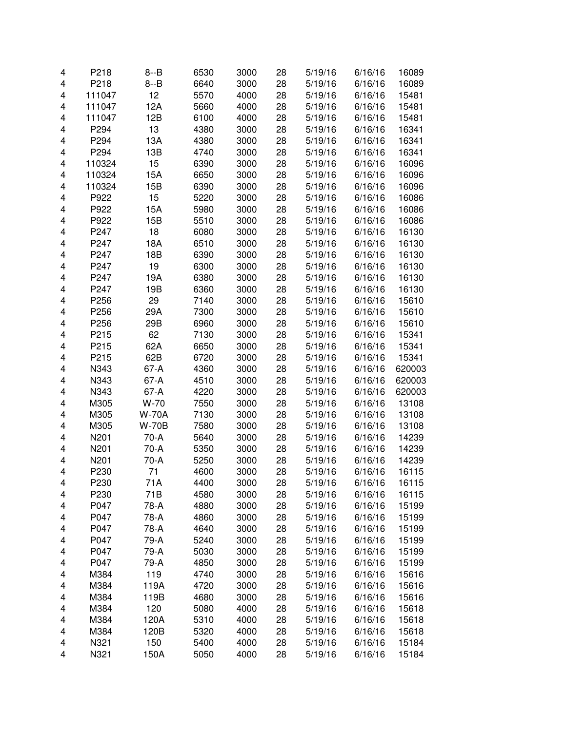| 4                       | P218   | $8 - B$      | 6530 | 3000 | 28 | 5/19/16 | 6/16/16 | 16089  |
|-------------------------|--------|--------------|------|------|----|---------|---------|--------|
| $\overline{\mathbf{4}}$ | P218   | $8 - B$      | 6640 | 3000 | 28 | 5/19/16 | 6/16/16 | 16089  |
| $\overline{\mathbf{4}}$ | 111047 | 12           | 5570 | 4000 | 28 | 5/19/16 | 6/16/16 | 15481  |
| $\overline{\mathbf{4}}$ | 111047 | 12A          | 5660 | 4000 | 28 | 5/19/16 | 6/16/16 | 15481  |
| 4                       | 111047 | 12B          | 6100 | 4000 | 28 | 5/19/16 | 6/16/16 | 15481  |
| 4                       | P294   | 13           | 4380 | 3000 | 28 | 5/19/16 | 6/16/16 | 16341  |
| 4                       | P294   | 13A          | 4380 | 3000 | 28 | 5/19/16 | 6/16/16 | 16341  |
| $\overline{\mathbf{4}}$ | P294   | 13B          | 4740 | 3000 | 28 | 5/19/16 | 6/16/16 | 16341  |
| 4                       | 110324 | 15           | 6390 | 3000 | 28 | 5/19/16 | 6/16/16 | 16096  |
| $\overline{\mathbf{4}}$ | 110324 | 15A          | 6650 | 3000 | 28 | 5/19/16 | 6/16/16 | 16096  |
| $\overline{\mathbf{4}}$ | 110324 | 15B          | 6390 | 3000 | 28 | 5/19/16 | 6/16/16 | 16096  |
| $\overline{\mathbf{4}}$ | P922   | 15           | 5220 | 3000 | 28 | 5/19/16 | 6/16/16 | 16086  |
| 4                       | P922   | 15A          | 5980 | 3000 | 28 | 5/19/16 | 6/16/16 | 16086  |
| 4                       | P922   | 15B          | 5510 | 3000 | 28 | 5/19/16 | 6/16/16 | 16086  |
| 4                       | P247   | 18           | 6080 | 3000 | 28 | 5/19/16 | 6/16/16 | 16130  |
| $\overline{\mathbf{4}}$ | P247   | 18A          | 6510 | 3000 | 28 | 5/19/16 | 6/16/16 | 16130  |
| 4                       | P247   | 18B          | 6390 | 3000 | 28 | 5/19/16 | 6/16/16 | 16130  |
| 4                       | P247   | 19           | 6300 | 3000 | 28 | 5/19/16 | 6/16/16 | 16130  |
| $\overline{\mathbf{4}}$ | P247   | 19A          | 6380 | 3000 | 28 | 5/19/16 | 6/16/16 | 16130  |
| $\overline{\mathbf{4}}$ | P247   | 19B          | 6360 | 3000 | 28 | 5/19/16 | 6/16/16 | 16130  |
| 4                       | P256   | 29           | 7140 | 3000 | 28 | 5/19/16 | 6/16/16 | 15610  |
| 4                       | P256   | 29A          | 7300 | 3000 | 28 | 5/19/16 | 6/16/16 | 15610  |
| 4                       | P256   | 29B          | 6960 | 3000 | 28 | 5/19/16 | 6/16/16 | 15610  |
| $\overline{\mathbf{4}}$ | P215   | 62           | 7130 | 3000 | 28 | 5/19/16 | 6/16/16 | 15341  |
| $\overline{\mathbf{4}}$ | P215   | 62A          | 6650 | 3000 | 28 | 5/19/16 | 6/16/16 | 15341  |
| 4                       | P215   | 62B          | 6720 | 3000 | 28 | 5/19/16 | 6/16/16 | 15341  |
| 4                       | N343   | 67-A         | 4360 | 3000 | 28 | 5/19/16 | 6/16/16 | 620003 |
| 4                       | N343   | 67-A         | 4510 | 3000 | 28 | 5/19/16 | 6/16/16 | 620003 |
| $\overline{\mathbf{4}}$ | N343   | 67-A         | 4220 | 3000 | 28 | 5/19/16 | 6/16/16 | 620003 |
| 4                       | M305   | $W-70$       | 7550 | 3000 | 28 | 5/19/16 | 6/16/16 | 13108  |
| 4                       | M305   | <b>W-70A</b> | 7130 | 3000 | 28 | 5/19/16 | 6/16/16 | 13108  |
| 4                       | M305   | <b>W-70B</b> | 7580 | 3000 | 28 | 5/19/16 | 6/16/16 | 13108  |
| $\overline{\mathbf{4}}$ | N201   | 70-A         | 5640 | 3000 | 28 | 5/19/16 | 6/16/16 | 14239  |
| 4                       | N201   | 70-A         | 5350 | 3000 | 28 | 5/19/16 | 6/16/16 | 14239  |
| 4                       | N201   | 70-A         | 5250 | 3000 | 28 | 5/19/16 | 6/16/16 | 14239  |
| $\overline{\mathbf{4}}$ | P230   | 71           | 4600 | 3000 | 28 | 5/19/16 | 6/16/16 | 16115  |
| 4                       | P230   | 71A          | 4400 | 3000 | 28 | 5/19/16 | 6/16/16 | 16115  |
| 4                       | P230   | 71B          | 4580 | 3000 | 28 | 5/19/16 | 6/16/16 | 16115  |
| 4                       | P047   | 78-A         | 4880 | 3000 | 28 | 5/19/16 | 6/16/16 | 15199  |
| 4                       | P047   | 78-A         | 4860 | 3000 | 28 | 5/19/16 | 6/16/16 | 15199  |
| 4                       | P047   | 78-A         | 4640 | 3000 | 28 | 5/19/16 | 6/16/16 | 15199  |
| 4                       | P047   | 79-A         | 5240 | 3000 | 28 | 5/19/16 | 6/16/16 | 15199  |
| 4                       | P047   | 79-A         | 5030 | 3000 | 28 | 5/19/16 | 6/16/16 | 15199  |
| 4                       | P047   | 79-A         | 4850 | 3000 | 28 | 5/19/16 | 6/16/16 | 15199  |
| 4                       | M384   | 119          | 4740 | 3000 | 28 | 5/19/16 | 6/16/16 | 15616  |
| 4                       | M384   | 119A         | 4720 | 3000 | 28 | 5/19/16 | 6/16/16 | 15616  |
| 4                       | M384   | 119B         | 4680 | 3000 | 28 | 5/19/16 | 6/16/16 | 15616  |
| 4                       | M384   | 120          | 5080 | 4000 | 28 | 5/19/16 | 6/16/16 | 15618  |
| 4                       | M384   | 120A         | 5310 | 4000 | 28 | 5/19/16 | 6/16/16 | 15618  |
| 4                       | M384   | 120B         | 5320 | 4000 | 28 | 5/19/16 | 6/16/16 | 15618  |
| 4                       | N321   | 150          | 5400 | 4000 | 28 | 5/19/16 | 6/16/16 | 15184  |
| $\overline{\mathbf{4}}$ | N321   | 150A         | 5050 | 4000 | 28 | 5/19/16 | 6/16/16 | 15184  |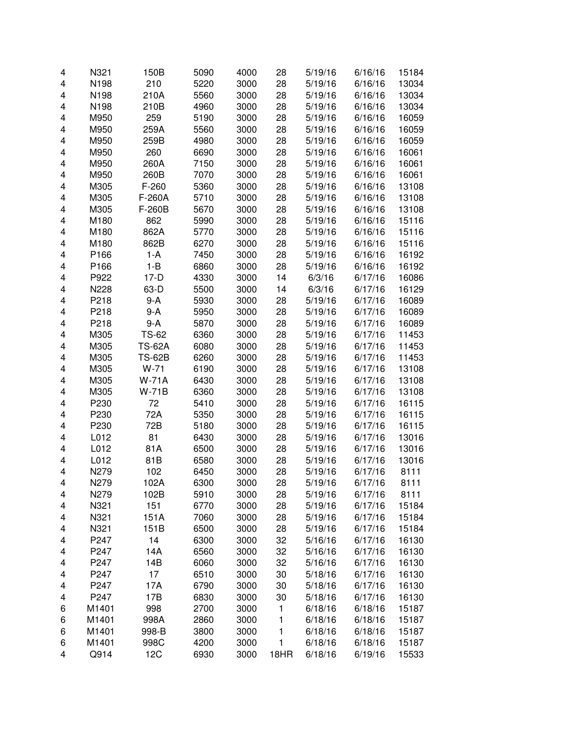| 4      | N321         | 150B          | 5090         | 4000         | 28       | 5/19/16 | 6/16/16            | 15184          |
|--------|--------------|---------------|--------------|--------------|----------|---------|--------------------|----------------|
| 4      | N198         | 210           | 5220         | 3000         | 28       | 5/19/16 | 6/16/16            | 13034          |
| 4      | N198         | 210A          | 5560         | 3000         | 28       | 5/19/16 | 6/16/16            | 13034          |
| 4      | N198         | 210B          | 4960         | 3000         | 28       | 5/19/16 | 6/16/16            | 13034          |
| 4      | M950         | 259           | 5190         | 3000         | 28       | 5/19/16 | 6/16/16            | 16059          |
| 4      | M950         | 259A          | 5560         | 3000         | 28       | 5/19/16 | 6/16/16            | 16059          |
| 4      | M950         | 259B          | 4980         | 3000         | 28       | 5/19/16 | 6/16/16            | 16059          |
| 4      | M950         | 260           | 6690         | 3000         | 28       | 5/19/16 | 6/16/16            | 16061          |
| 4      | M950         | 260A          | 7150         | 3000         | 28       | 5/19/16 | 6/16/16            | 16061          |
| 4      | M950         | 260B          | 7070         | 3000         | 28       | 5/19/16 | 6/16/16            | 16061          |
| 4      | M305         | $F-260$       | 5360         | 3000         | 28       | 5/19/16 | 6/16/16            | 13108          |
| 4      | M305         | F-260A        | 5710         | 3000         | 28       | 5/19/16 | 6/16/16            | 13108          |
| 4      | M305         | F-260B        | 5670         | 3000         | 28       | 5/19/16 | 6/16/16            | 13108          |
| 4      | M180         | 862           | 5990         | 3000         | 28       | 5/19/16 | 6/16/16            | 15116          |
| 4      | M180         | 862A          | 5770         | 3000         | 28       | 5/19/16 | 6/16/16            | 15116          |
| 4      | M180         | 862B          | 6270         | 3000         | 28       | 5/19/16 | 6/16/16            | 15116          |
| 4      | P166         | 1-A           | 7450         | 3000         | 28       | 5/19/16 | 6/16/16            | 16192          |
| 4      | P166         | $1 - B$       | 6860         | 3000         | 28       | 5/19/16 | 6/16/16            | 16192          |
| 4      | P922         | $17-D$        | 4330         | 3000         | 14       | 6/3/16  | 6/17/16            | 16086          |
| 4      | N228         | 63-D          | 5500         | 3000         | 14       | 6/3/16  | 6/17/16            | 16129          |
| 4      | P218         | $9-A$         | 5930         | 3000         | 28       | 5/19/16 | 6/17/16            | 16089          |
| 4      | P218         | 9-A           | 5950         | 3000         | 28       | 5/19/16 | 6/17/16            | 16089          |
| 4      | P218         | 9-A           | 5870         | 3000         | 28       | 5/19/16 | 6/17/16            | 16089          |
| 4      | M305         | <b>TS-62</b>  | 6360         | 3000         | 28       | 5/19/16 | 6/17/16            | 11453          |
| 4      | M305         | <b>TS-62A</b> | 6080         | 3000         | 28       | 5/19/16 | 6/17/16            | 11453          |
| 4      | M305         | <b>TS-62B</b> | 6260         | 3000         | 28       | 5/19/16 | 6/17/16            | 11453          |
| 4      | M305         | $W-71$        | 6190         | 3000         | 28       | 5/19/16 | 6/17/16            | 13108          |
| 4      | M305         | <b>W-71A</b>  | 6430         | 3000         | 28       | 5/19/16 | 6/17/16            | 13108          |
| 4      | M305         | $W-71B$       | 6360         | 3000         | 28       | 5/19/16 | 6/17/16            | 13108          |
| 4      | P230         | 72            | 5410         | 3000         | 28       | 5/19/16 | 6/17/16            | 16115          |
| 4      | P230         | 72A           | 5350         | 3000         | 28       | 5/19/16 | 6/17/16            | 16115          |
| 4      | P230         | 72B           | 5180         | 3000         | 28       | 5/19/16 | 6/17/16            | 16115          |
| 4      | L012         | 81            | 6430         | 3000         | 28       | 5/19/16 | 6/17/16            | 13016          |
| 4      | L012         | 81A           | 6500         | 3000         | 28       | 5/19/16 | 6/17/16            | 13016          |
| 4      | L012         | 81B           | 6580         | 3000         | 28       | 5/19/16 | 6/17/16            | 13016          |
| 4      | N279         | 102           | 6450         | 3000         | 28       | 5/19/16 | 6/17/16            | 8111           |
| 4      |              |               |              |              |          | 5/19/16 |                    |                |
| 4      | N279<br>N279 | 102A<br>102B  | 6300<br>5910 | 3000<br>3000 | 28<br>28 | 5/19/16 | 6/17/16<br>6/17/16 | 8111<br>8111   |
|        | N321         | 151           | 6770         | 3000         | 28       | 5/19/16 | 6/17/16            | 15184          |
| 4<br>4 | N321         | 151A          | 7060         | 3000         | 28       | 5/19/16 | 6/17/16            | 15184          |
|        | N321         | 151B          | 6500         | 3000         |          |         |                    | 15184          |
| 4      | P247         | 14            | 6300         | 3000         | 28<br>32 | 5/19/16 | 6/17/16<br>6/17/16 |                |
| 4      |              | 14A           |              |              |          | 5/16/16 |                    | 16130<br>16130 |
| 4      | P247         | 14B           | 6560         | 3000         | 32       | 5/16/16 | 6/17/16            |                |
| 4      | P247         |               | 6060         | 3000         | 32       | 5/16/16 | 6/17/16            | 16130          |
| 4      | P247         | 17            | 6510         | 3000         | 30       | 5/18/16 | 6/17/16            | 16130          |
| 4      | P247         | 17A           | 6790         | 3000         | 30       | 5/18/16 | 6/17/16            | 16130          |
| 4      | P247         | 17B           | 6830         | 3000         | 30       | 5/18/16 | 6/17/16            | 16130          |
| 6      | M1401        | 998           | 2700         | 3000         | 1        | 6/18/16 | 6/18/16            | 15187          |
| 6      | M1401        | 998A          | 2860         | 3000         | 1        | 6/18/16 | 6/18/16            | 15187          |
| 6      | M1401        | 998-B         | 3800         | 3000         | 1        | 6/18/16 | 6/18/16            | 15187          |
| 6      | M1401        | 998C          | 4200         | 3000         | 1        | 6/18/16 | 6/18/16            | 15187          |
| 4      | Q914         | 12C           | 6930         | 3000         | 18HR     | 6/18/16 | 6/19/16            | 15533          |